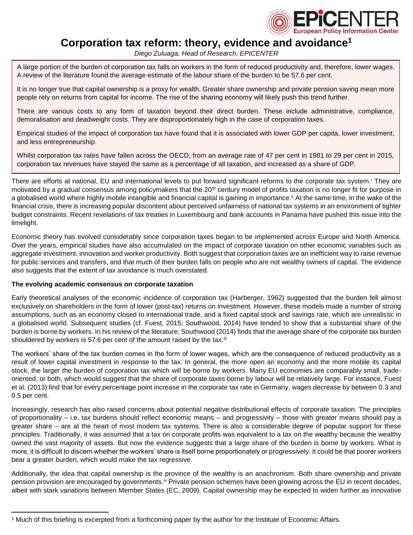

# **Corporation tax reform: theory, evidence and avoidance<sup>1</sup>**

*Diego Zuluaga, Head of Research, EPICENTER*

A large portion of the burden of corporation tax falls on workers in the form of reduced productivity and, therefore, lower wages. A review of the literature found the average estimate of the labour share of the burden to be 57.6 per cent.

It is no longer true that capital ownership is a proxy for wealth. Greater share ownership and private pension saving mean more people rely on returns from capital for income. The rise of the sharing economy will likely push this trend further.

There are various costs to any form of taxation beyond their direct burden. These include administrative, compliance, demoralisation and deadweight costs. They are disproportionately high in the case of corporation taxes.

Empirical studies of the impact of corporation tax have found that it is associated with lower GDP per capita, lower investment, and less entrepreneurship.

Whilst corporation tax rates have fallen across the OECD, from an average rate of 47 per cent in 1981 to 29 per cent in 2015, corporation tax revenues have stayed the same as a percentage of all taxation, and increased as a share of GDP.

There are efforts at national, EU and international levels to put forward significant reforms to the corporate tax system.<sup>i</sup> They are motivated by a gradual consensus among policymakers that the 20<sup>th</sup> century model of profits taxation is no longer fit for purpose in a globalised world where highly mobile intangible and financial capital is gaining in importance.<sup>ii</sup> At the same time, in the wake of the financial crisis, there is increasing popular discontent about perceived unfairness of national tax systems in an environment of tighter budget constraints. Recent revelations of tax treaties in Luxembourg and bank accounts in Panama have pushed this issue into the limelight.

Economic theory has evolved considerably since corporation taxes began to be implemented across Europe and North America. Over the years, empirical studies have also accumulated on the impact of corporate taxation on other economic variables such as aggregate investment, innovation and worker productivity. Both suggest that corporation taxes are an inefficient way to raise revenue for public services and transfers, and that much of their burden falls on people who are not wealthy owners of capital. The evidence also suggests that the extent of tax avoidance is much overstated.

#### **The evolving academic consensus on corporate taxation**

 $\overline{a}$ 

Early theoretical analyses of the economic incidence of corporation tax (Harberger, 1962) suggested that the burden fell almost exclusively on shareholders in the form of lower (post-tax) returns on investment. However, these models made a number of strong assumptions, such as an economy closed to international trade, and a fixed capital stock and savings rate, which are unrealistic in a globalised world. Subsequent studies (cf. Fuest, 2015; Southwood, 2014) have tended to show that a substantial share of the burden is borne by workers. In his review of the literature, Southwood (2014) finds that the average share of the corporate tax burden shouldered by workers is 57.6 per cent of the amount raised by the tax.<sup>iii</sup>

The workers' share of the tax burden comes in the form of lower wages, which are the consequence of reduced productivity as a result of lower capital investment in response to the tax. In general, the more open an economy and the more mobile its capital stock, the larger the burden of corporation tax which will be borne by workers. Many EU economies are comparably small, tradeoriented, or both, which would suggest that the share of corporate taxes borne by labour will be relatively large. For instance, Fuest et al. (2013) find that for every percentage point increase in the corporate tax rate in Germany, wages decrease by between 0.3 and 0.5 per cent.

Increasingly, research has also raised concerns about potential negative distributional effects of corporate taxation. The principles of proportionality – i.e. tax burdens should reflect economic means – and progressivity – those with greater means should pay a greater share – are at the heart of most modern tax systems. There is also a considerable degree of popular support for these principles. Traditionally, it was assumed that a tax on corporate profits was equivalent to a tax on the wealthy because the wealthy owned the vast majority of assets. But now the evidence suggests that a large share of the burden is borne by workers. What is more, it is difficult to discern whether the workers' share is itself borne proportionately or progressively. It could be that poorer workers bear a greater burden, which would make the tax regressive.

Additionally, the idea that capital ownership is the province of the wealthy is an anachronism. Both share ownership and private pension provision are encouraged by governments.<sup>iv</sup> Private pension schemes have been growing across the EU in recent decades, albeit with stark variations between Member States (EC, 2009). Capital ownership may be expected to widen further as innovative

<sup>1</sup> Much of this briefing is excerpted from a forthcoming paper by the author for the Institute of Economic Affairs.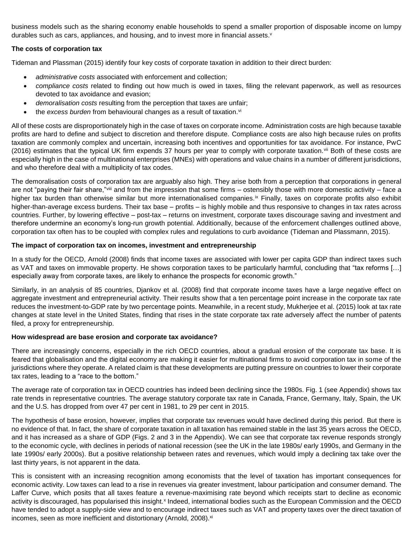business models such as the sharing economy enable households to spend a smaller proportion of disposable income on lumpy durables such as cars, appliances, and housing, and to invest more in financial assets. v

# **The costs of corporation tax**

Tideman and Plassman (2015) identify four key costs of corporate taxation in addition to their direct burden:

- *administrative costs* associated with enforcement and collection;
- *compliance costs* related to finding out how much is owed in taxes, filing the relevant paperwork, as well as resources devoted to tax avoidance and evasion;
- *demoralisation costs* resulting from the perception that taxes are unfair;
- the *excess burden* from behavioural changes as a result of taxation.<sup>vi</sup>

All of these costs are disproportionately high in the case of taxes on corporate income. Administration costs are high because taxable profits are hard to define and subject to discretion and therefore dispute. Compliance costs are also high because rules on profits taxation are commonly complex and uncertain, increasing both incentives and opportunities for tax avoidance. For instance, PwC (2016) estimates that the typical UK firm expends 37 hours per year to comply with corporate taxation.<sup>vii</sup> Both of these costs are especially high in the case of multinational enterprises (MNEs) with operations and value chains in a number of different jurisdictions, and who therefore deal with a multiplicity of tax codes.

The demoralisation costs of corporation tax are arguably also high. They arise both from a perception that corporations in general are not "paying their fair share,"<sup>viii</sup> and from the impression that some firms – ostensibly those with more domestic activity – face a higher tax burden than otherwise similar but more internationalised companies.<sup>ix</sup> Finally, taxes on corporate profits also exhibit higher-than-average excess burdens. Their tax base – profits – is highly mobile and thus responsive to changes in tax rates across countries. Further, by lowering effective – post-tax – returns on investment, corporate taxes discourage saving and investment and therefore undermine an economy's long-run growth potential. Additionally, because of the enforcement challenges outlined above, corporation tax often has to be coupled with complex rules and regulations to curb avoidance (Tideman and Plassmann, 2015).

### **The impact of corporation tax on incomes, investment and entrepreneurship**

In a study for the OECD, Arnold (2008) finds that income taxes are associated with lower per capita GDP than indirect taxes such as VAT and taxes on immovable property. He shows corporation taxes to be particularly harmful, concluding that "tax reforms […] especially away from corporate taxes, are likely to enhance the prospects for economic growth."

Similarly, in an analysis of 85 countries, Djankov et al. (2008) find that corporate income taxes have a large negative effect on aggregate investment and entrepreneurial activity. Their results show that a ten percentage point increase in the corporate tax rate reduces the investment-to-GDP rate by two percentage points. Meanwhile, in a recent study, Mukherjee et al. (2015) look at tax rate changes at state level in the United States, finding that rises in the state corporate tax rate adversely affect the number of patents filed, a proxy for entrepreneurship.

#### **How widespread are base erosion and corporate tax avoidance?**

There are increasingly concerns, especially in the rich OECD countries, about a gradual erosion of the corporate tax base. It is feared that globalisation and the digital economy are making it easier for multinational firms to avoid corporation tax in some of the jurisdictions where they operate. A related claim is that these developments are putting pressure on countries to lower their corporate tax rates, leading to a "race to the bottom."

The average rate of corporation tax in OECD countries has indeed been declining since the 1980s. Fig. 1 (see Appendix) shows tax rate trends in representative countries. The average statutory corporate tax rate in Canada, France, Germany, Italy, Spain, the UK and the U.S. has dropped from over 47 per cent in 1981, to 29 per cent in 2015.

The hypothesis of base erosion, however, implies that corporate tax revenues would have declined during this period. But there is no evidence of that. In fact, the share of corporate taxation in all taxation has remained stable in the last 35 years across the OECD, and it has increased as a share of GDP (Figs. 2 and 3 in the Appendix). We can see that corporate tax revenue responds strongly to the economic cycle, with declines in periods of national recession (see the UK in the late 1980s/ early 1990s, and Germany in the late 1990s/ early 2000s). But a positive relationship between rates and revenues, which would imply a declining tax take over the last thirty years, is not apparent in the data.

This is consistent with an increasing recognition among economists that the level of taxation has important consequences for economic activity. Low taxes can lead to a rise in revenues via greater investment, labour participation and consumer demand. The Laffer Curve, which posits that all taxes feature a revenue-maximising rate beyond which receipts start to decline as economic activity is discouraged, has popularised this insight.<sup>x</sup> Indeed, international bodies such as the European Commission and the OECD have tended to adopt a supply-side view and to encourage indirect taxes such as VAT and property taxes over the direct taxation of incomes, seen as more inefficient and distortionary (Arnold, 2008).<sup>xi</sup>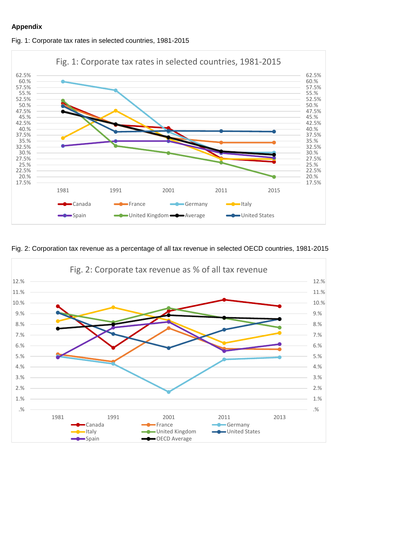## **Appendix**



Fig. 1: Corporate tax rates in selected countries, 1981-2015

Fig. 2: Corporation tax revenue as a percentage of all tax revenue in selected OECD countries, 1981-2015

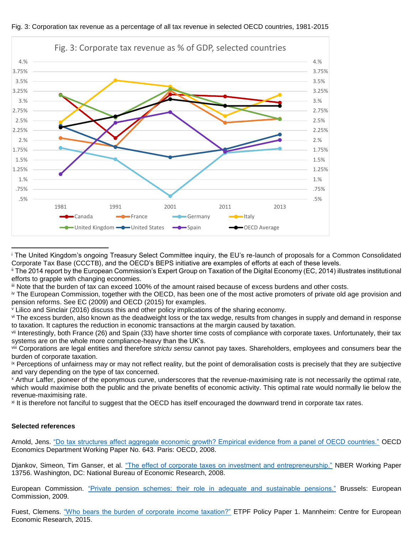

xi It is therefore not fanciful to suggest that the OECD has itself encouraged the downward trend in corporate tax rates.

#### **Selected references**

 $\overline{a}$ 

Arnold, Jens. ["Do tax structures affect aggregate economic growth? Empirical evidence from a panel of OECD countries."](http://www.oecd.org/officialdocuments/publicdisplaydocumentpdf/?doclanguage=en&cote=eco/wkp(2008)51) OECD Economics Department Working Paper No. 643. Paris: OECD, 2008.

Djankov, Simeon, Tim Ganser, et al. ["The effect of corporate taxes on investment and entrepreneurship."](http://www.nber.org/papers/w13756.pdf) NBER Working Paper 13756. Washington, DC: National Bureau of Economic Research, 2008.

European Commission. ["Private pension schemes: their role in adequate and sustainable pensions."](http://ec.europa.eu/social/BlobServlet?docId=4853&langId=en) Brussels: European Commission, 2009.

Fuest, Clemens. ["Who bears the burden of corporate income taxation?"](http://www.etpf.org/papers/PP001CorpTax.pdf) ETPF Policy Paper 1. Mannheim: Centre for European Economic Research, 2015.

<sup>i</sup> The United Kingdom's ongoing Treasury Select Committee inquiry, the EU's re-launch of proposals for a Common Consolidated Corporate Tax Base (CCCTB), and the OECD's BEPS initiative are examples of efforts at each of these levels.

ii The 2014 report by the European Commission's Expert Group on Taxation of the Digital Economy (EC, 2014) illustrates institutional efforts to grapple with changing economies.

iii Note that the burden of tax can exceed 100% of the amount raised because of excess burdens and other costs.

iv The European Commission, together with the OECD, has been one of the most active promoters of private old age provision and pension reforms. See EC (2009) and OECD (2015) for examples.

<sup>v</sup> Lilico and Sinclair (2016) discuss this and other policy implications of the sharing economy.

vi The excess burden, also known as the deadweight loss or the tax wedge, results from changes in supply and demand in response to taxation. It captures the reduction in economic transactions at the margin caused by taxation.

vii Interestingly, both France (26) and Spain (33) have shorter time costs of compliance with corporate taxes. Unfortunately, their tax systems are on the whole more compliance-heavy than the UK's.

viii Corporations are legal entities and therefore *strictu sensu* cannot pay taxes. Shareholders, employees and consumers bear the burden of corporate taxation.

ix Perceptions of unfairness may or may not reflect reality, but the point of demoralisation costs is precisely that they are subjective and vary depending on the type of tax concerned.

<sup>x</sup> Arthur Laffer, pioneer of the eponymous curve, underscores that the revenue-maximising rate is not necessarily the optimal rate, which would maximise both the public and the private benefits of economic activity. This optimal rate would normally lie below the revenue-maximising rate.